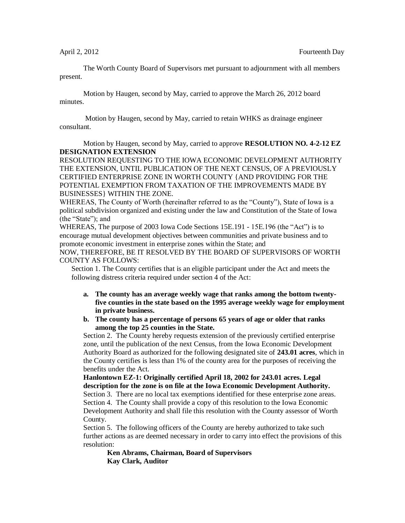The Worth County Board of Supervisors met pursuant to adjournment with all members present.

Motion by Haugen, second by May, carried to approve the March 26, 2012 board minutes.

Motion by Haugen, second by May, carried to retain WHKS as drainage engineer consultant.

Motion by Haugen, second by May, carried to approve **RESOLUTION NO. 4-2-12 EZ DESIGNATION EXTENSION**

RESOLUTION REQUESTING TO THE IOWA ECONOMIC DEVELOPMENT AUTHORITY THE EXTENSION, UNTIL PUBLICATION OF THE NEXT CENSUS, OF A PREVIOUSLY CERTIFIED ENTERPRISE ZONE IN WORTH COUNTY {AND PROVIDING FOR THE POTENTIAL EXEMPTION FROM TAXATION OF THE IMPROVEMENTS MADE BY BUSINESSES} WITHIN THE ZONE.

WHEREAS, The County of Worth (hereinafter referred to as the "County"), State of Iowa is a political subdivision organized and existing under the law and Constitution of the State of Iowa (the "State"); and

WHEREAS, The purpose of 2003 Iowa Code Sections 15E.191 - 15E.196 (the "Act") is to encourage mutual development objectives between communities and private business and to promote economic investment in enterprise zones within the State; and

NOW, THEREFORE, BE IT RESOLVED BY THE BOARD OF SUPERVISORS OF WORTH COUNTY AS FOLLOWS:

Section 1. The County certifies that is an eligible participant under the Act and meets the following distress criteria required under section 4 of the Act:

- **a. The county has an average weekly wage that ranks among the bottom twentyfive counties in the state based on the 1995 average weekly wage for employment in private business.**
- **b. The county has a percentage of persons 65 years of age or older that ranks among the top 25 counties in the State.**

Section 2. The County hereby requests extension of the previously certified enterprise zone, until the publication of the next Census, from the Iowa Economic Development Authority Board as authorized for the following designated site of **243.01 acres**, which in the County certifies is less than 1% of the county area for the purposes of receiving the benefits under the Act.

**Hanlontown EZ-1: Originally certified April 18, 2002 for 243.01 acres. Legal description for the zone is on file at the Iowa Economic Development Authority.**

Section 3. There are no local tax exemptions identified for these enterprise zone areas. Section 4. The County shall provide a copy of this resolution to the Iowa Economic Development Authority and shall file this resolution with the County assessor of Worth County.

Section 5. The following officers of the County are hereby authorized to take such further actions as are deemed necessary in order to carry into effect the provisions of this resolution:

**Ken Abrams, Chairman, Board of Supervisors Kay Clark, Auditor**